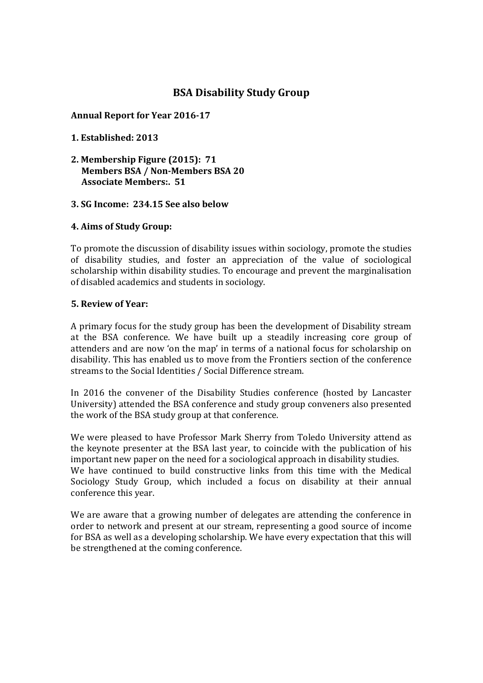# **BSA Disability Study Group**

# **Annual Report for Year 2016‐17**

# **1. Established: 2013**

**2. Membership Figure (2015): 71 Members BSA / Non‐Members BSA 20 Associate Members:. 51**

#### **3. SG Income: 234.15 See also below**

# **4. Aims of Study Group:**

To promote the discussion of disability issues within sociology, promote the studies of disability studies, and foster an appreciation of the value of sociological scholarship within disability studies. To encourage and prevent the marginalisation of disabled academics and students in sociology.

#### **5. Review of Year:**

A primary focus for the study group has been the development of Disability stream at the BSA conference. We have built up a steadily increasing core group of attenders and are now 'on the map' in terms of a national focus for scholarship on disability. This has enabled us to move from the Frontiers section of the conference streams to the Social Identities / Social Difference stream.

In 2016 the convener of the Disability Studies conference (hosted by Lancaster University) attended the BSA conference and study group conveners also presented the work of the BSA study group at that conference.

We were pleased to have Professor Mark Sherry from Toledo University attend as the keynote presenter at the BSA last year, to coincide with the publication of his important new paper on the need for a sociological approach in disability studies. We have continued to build constructive links from this time with the Medical Sociology Study Group, which included a focus on disability at their annual conference this year.

We are aware that a growing number of delegates are attending the conference in order to network and present at our stream, representing a good source of income for BSA as well as a developing scholarship. We have every expectation that this will be strengthened at the coming conference.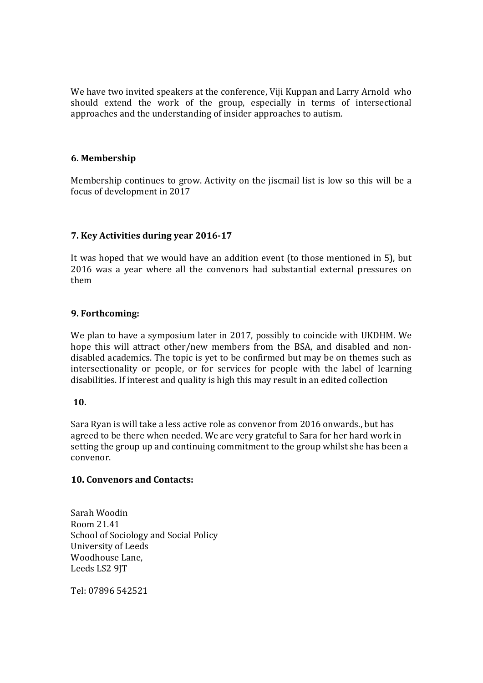We have two invited speakers at the conference, Viji Kuppan and Larry Arnold who should extend the work of the group, especially in terms of intersectional approaches and the understanding of insider approaches to autism.

#### **6. Membership**

Membership continues to grow. Activity on the jiscmail list is low so this will be a focus of development in 2017

# **7. Key Activities during year 2016‐17**

It was hoped that we would have an addition event (to those mentioned in 5), but 2016 was a year where all the convenors had substantial external pressures on them 

# **9. Forthcoming:**

We plan to have a symposium later in 2017, possibly to coincide with UKDHM. We hope this will attract other/new members from the BSA, and disabled and nondisabled academics. The topic is yet to be confirmed but may be on themes such as intersectionality or people, or for services for people with the label of learning disabilities. If interest and quality is high this may result in an edited collection

#### **10.**

Sara Ryan is will take a less active role as convenor from 2016 onwards., but has agreed to be there when needed. We are very grateful to Sara for her hard work in setting the group up and continuing commitment to the group whilst she has been a convenor. 

#### **10. Convenors and Contacts:**

Sarah Woodin Room 21.41 School of Sociology and Social Policy University of Leeds Woodhouse Lane. Leeds LS2 9JT 

Tel: 07896 542521